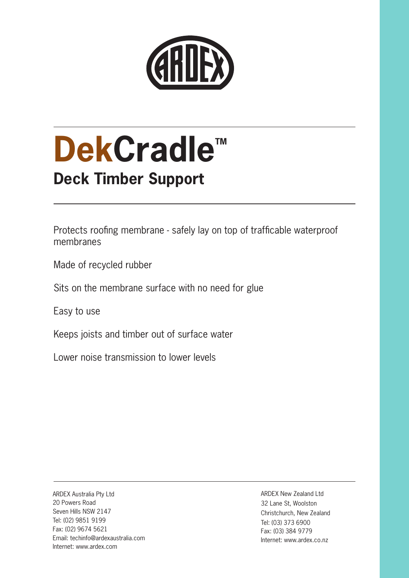

# **DekCradle™ Deck Timber Support**

Protects roofing membrane - safely lay on top of trafficable waterproof membranes

Made of recycled rubber

Sits on the membrane surface with no need for glue

Easy to use

Keeps joists and timber out of surface water

Lower noise transmission to lower levels

ARDEX Australia Pty Ltd 20 Powers Road Seven Hills NSW 2147 Tel: (02) 9851 9199 Fax: (02) 9674 5621 Email: techinfo@ardexaustralia.com Internet: www.ardex.com

ARDEX New Zealand Ltd 32 Lane St, Woolston Christchurch, New Zealand Tel: (03) 373 6900 Fax: (03) 384 9779 Internet: www.ardex.co.nz